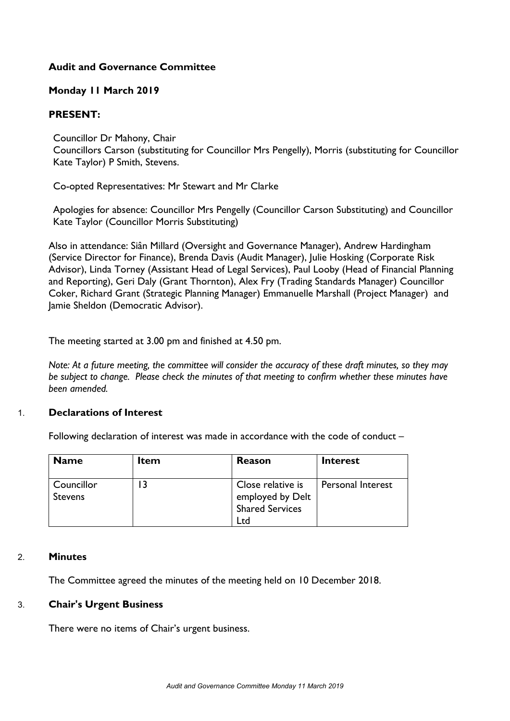# **Audit and Governance Committee**

## **Monday 11 March 2019**

### **PRESENT:**

Councillor Dr Mahony, Chair

Councillors Carson (substituting for Councillor Mrs Pengelly), Morris (substituting for Councillor Kate Taylor) P Smith, Stevens.

Co-opted Representatives: Mr Stewart and Mr Clarke

Apologies for absence: Councillor Mrs Pengelly (Councillor Carson Substituting) and Councillor Kate Taylor (Councillor Morris Substituting)

Also in attendance: Siân Millard (Oversight and Governance Manager), Andrew Hardingham (Service Director for Finance), Brenda Davis (Audit Manager), Julie Hosking (Corporate Risk Advisor), Linda Torney (Assistant Head of Legal Services), Paul Looby (Head of Financial Planning and Reporting), Geri Daly (Grant Thornton), Alex Fry (Trading Standards Manager) Councillor Coker, Richard Grant (Strategic Planning Manager) Emmanuelle Marshall (Project Manager) and Jamie Sheldon (Democratic Advisor).

The meeting started at 3.00 pm and finished at 4.50 pm.

Note: At a future meeting, the committee will consider the accuracy of these draft minutes, so they may *be subject to change. Please check the minutes of that meeting to confirm whether these minutes have been amended.*

#### 1. **Declarations of Interest**

Following declaration of interest was made in accordance with the code of conduct –

| <b>Name</b>           | <b>Item</b> | <b>Reason</b>                                                          | <b>Interest</b>   |
|-----------------------|-------------|------------------------------------------------------------------------|-------------------|
| Councillor<br>Stevens |             | Close relative is<br>employed by Delt<br><b>Shared Services</b><br>Ltd | Personal Interest |

#### 2. **Minutes**

The Committee agreed the minutes of the meeting held on 10 December 2018.

#### 3. **Chair's Urgent Business**

There were no items of Chair's urgent business.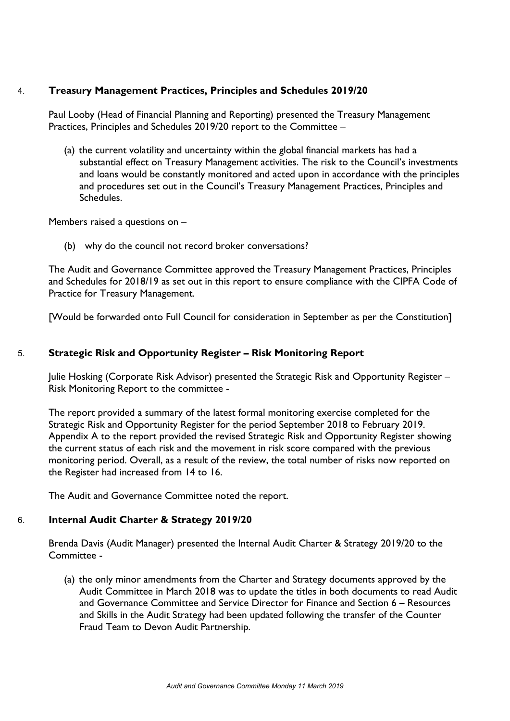## 4. **Treasury Management Practices, Principles and Schedules 2019/20**

Paul Looby (Head of Financial Planning and Reporting) presented the Treasury Management Practices, Principles and Schedules 2019/20 report to the Committee –

(a) the current volatility and uncertainty within the global financial markets has had a substantial effect on Treasury Management activities. The risk to the Council's investments and loans would be constantly monitored and acted upon in accordance with the principles and procedures set out in the Council's Treasury Management Practices, Principles and Schedules.

Members raised a questions on –

(b) why do the council not record broker conversations?

The Audit and Governance Committee approved the Treasury Management Practices, Principles and Schedules for 2018/19 as set out in this report to ensure compliance with the CIPFA Code of Practice for Treasury Management.

[Would be forwarded onto Full Council for consideration in September as per the Constitution]

### 5. **Strategic Risk and Opportunity Register – Risk Monitoring Report**

Julie Hosking (Corporate Risk Advisor) presented the Strategic Risk and Opportunity Register – Risk Monitoring Report to the committee -

The report provided a summary of the latest formal monitoring exercise completed for the Strategic Risk and Opportunity Register for the period September 2018 to February 2019. Appendix A to the report provided the revised Strategic Risk and Opportunity Register showing the current status of each risk and the movement in risk score compared with the previous monitoring period. Overall, as a result of the review, the total number of risks now reported on the Register had increased from 14 to 16.

The Audit and Governance Committee noted the report.

# 6. **Internal Audit Charter & Strategy 2019/20**

Brenda Davis (Audit Manager) presented the Internal Audit Charter & Strategy 2019/20 to the Committee -

(a) the only minor amendments from the Charter and Strategy documents approved by the Audit Committee in March 2018 was to update the titles in both documents to read Audit and Governance Committee and Service Director for Finance and Section 6 – Resources and Skills in the Audit Strategy had been updated following the transfer of the Counter Fraud Team to Devon Audit Partnership.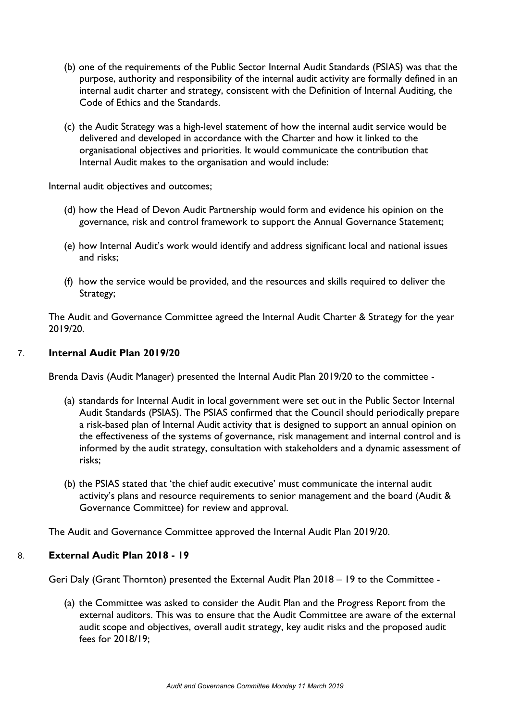- (b) one of the requirements of the Public Sector Internal Audit Standards (PSIAS) was that the purpose, authority and responsibility of the internal audit activity are formally defined in an internal audit charter and strategy, consistent with the Definition of Internal Auditing, the Code of Ethics and the Standards.
- (c) the Audit Strategy was a high-level statement of how the internal audit service would be delivered and developed in accordance with the Charter and how it linked to the organisational objectives and priorities. It would communicate the contribution that Internal Audit makes to the organisation and would include:

Internal audit objectives and outcomes;

- (d) how the Head of Devon Audit Partnership would form and evidence his opinion on the governance, risk and control framework to support the Annual Governance Statement;
- (e) how Internal Audit's work would identify and address significant local and national issues and risks;
- (f) how the service would be provided, and the resources and skills required to deliver the Strategy;

The Audit and Governance Committee agreed the Internal Audit Charter & Strategy for the year 2019/20.

# 7. **Internal Audit Plan 2019/20**

Brenda Davis (Audit Manager) presented the Internal Audit Plan 2019/20 to the committee -

- (a) standards for Internal Audit in local government were set out in the Public Sector Internal Audit Standards (PSIAS). The PSIAS confirmed that the Council should periodically prepare a risk-based plan of Internal Audit activity that is designed to support an annual opinion on the effectiveness of the systems of governance, risk management and internal control and is informed by the audit strategy, consultation with stakeholders and a dynamic assessment of risks;
- (b) the PSIAS stated that 'the chief audit executive' must communicate the internal audit activity's plans and resource requirements to senior management and the board (Audit & Governance Committee) for review and approval.

The Audit and Governance Committee approved the Internal Audit Plan 2019/20.

#### 8. **External Audit Plan 2018 - 19**

Geri Daly (Grant Thornton) presented the External Audit Plan 2018 – 19 to the Committee -

(a) the Committee was asked to consider the Audit Plan and the Progress Report from the external auditors. This was to ensure that the Audit Committee are aware of the external audit scope and objectives, overall audit strategy, key audit risks and the proposed audit fees for 2018/19;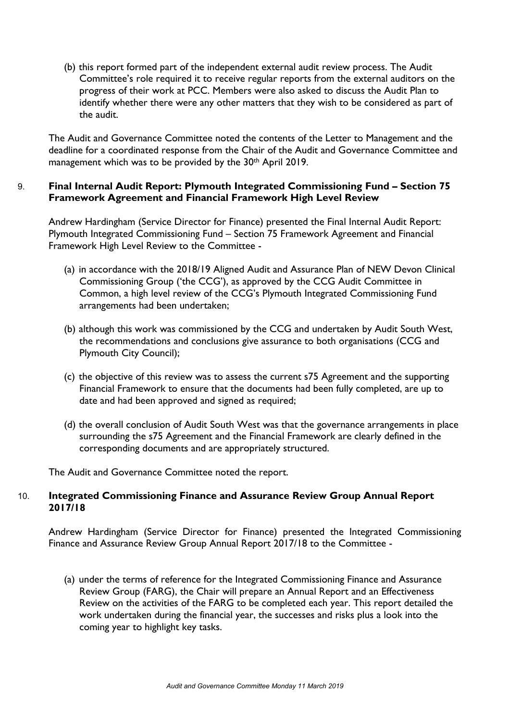(b) this report formed part of the independent external audit review process. The Audit Committee's role required it to receive regular reports from the external auditors on the progress of their work at PCC. Members were also asked to discuss the Audit Plan to identify whether there were any other matters that they wish to be considered as part of the audit.

The Audit and Governance Committee noted the contents of the Letter to Management and the deadline for a coordinated response from the Chair of the Audit and Governance Committee and management which was to be provided by the 30<sup>th</sup> April 2019.

# 9. **Final Internal Audit Report: Plymouth Integrated Commissioning Fund – Section 75 Framework Agreement and Financial Framework High Level Review**

Andrew Hardingham (Service Director for Finance) presented the Final Internal Audit Report: Plymouth Integrated Commissioning Fund – Section 75 Framework Agreement and Financial Framework High Level Review to the Committee -

- (a) in accordance with the 2018/19 Aligned Audit and Assurance Plan of NEW Devon Clinical Commissioning Group ('the CCG'), as approved by the CCG Audit Committee in Common, a high level review of the CCG's Plymouth Integrated Commissioning Fund arrangements had been undertaken;
- (b) although this work was commissioned by the CCG and undertaken by Audit South West, the recommendations and conclusions give assurance to both organisations (CCG and Plymouth City Council);
- (c) the objective of this review was to assess the current s75 Agreement and the supporting Financial Framework to ensure that the documents had been fully completed, are up to date and had been approved and signed as required;
- (d) the overall conclusion of Audit South West was that the governance arrangements in place surrounding the s75 Agreement and the Financial Framework are clearly defined in the corresponding documents and are appropriately structured.

The Audit and Governance Committee noted the report.

### 10. **Integrated Commissioning Finance and Assurance Review Group Annual Report 2017/18**

Andrew Hardingham (Service Director for Finance) presented the Integrated Commissioning Finance and Assurance Review Group Annual Report 2017/18 to the Committee -

(a) under the terms of reference for the Integrated Commissioning Finance and Assurance Review Group (FARG), the Chair will prepare an Annual Report and an Effectiveness Review on the activities of the FARG to be completed each year. This report detailed the work undertaken during the financial year, the successes and risks plus a look into the coming year to highlight key tasks.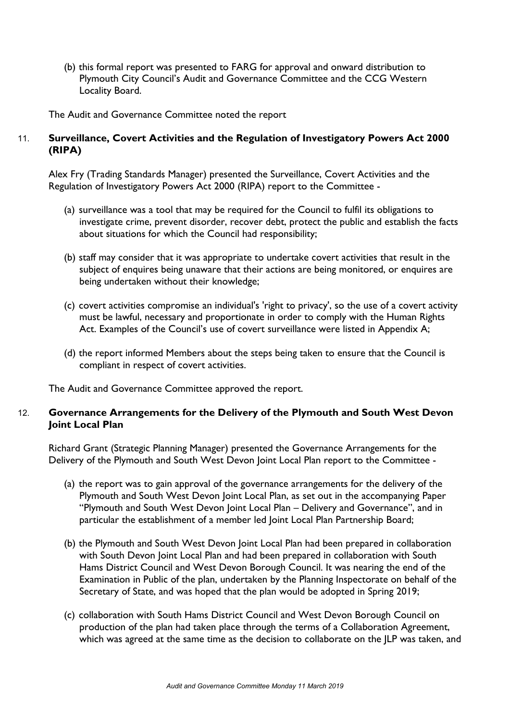(b) this formal report was presented to FARG for approval and onward distribution to Plymouth City Council's Audit and Governance Committee and the CCG Western Locality Board.

The Audit and Governance Committee noted the report

## 11. **Surveillance, Covert Activities and the Regulation of Investigatory Powers Act 2000 (RIPA)**

Alex Fry (Trading Standards Manager) presented the Surveillance, Covert Activities and the Regulation of Investigatory Powers Act 2000 (RIPA) report to the Committee -

- (a) surveillance was a tool that may be required for the Council to fulfil its obligations to investigate crime, prevent disorder, recover debt, protect the public and establish the facts about situations for which the Council had responsibility;
- (b) staff may consider that it was appropriate to undertake covert activities that result in the subject of enquires being unaware that their actions are being monitored, or enquires are being undertaken without their knowledge;
- (c) covert activities compromise an individual's 'right to privacy', so the use of a covert activity must be lawful, necessary and proportionate in order to comply with the Human Rights Act. Examples of the Council's use of covert surveillance were listed in Appendix A;
- (d) the report informed Members about the steps being taken to ensure that the Council is compliant in respect of covert activities.

The Audit and Governance Committee approved the report.

### 12. **Governance Arrangements for the Delivery of the Plymouth and South West Devon Joint Local Plan**

Richard Grant (Strategic Planning Manager) presented the Governance Arrangements for the Delivery of the Plymouth and South West Devon Joint Local Plan report to the Committee -

- (a) the report was to gain approval of the governance arrangements for the delivery of the Plymouth and South West Devon Joint Local Plan, as set out in the accompanying Paper "Plymouth and South West Devon Joint Local Plan – Delivery and Governance", and in particular the establishment of a member led Joint Local Plan Partnership Board;
- (b) the Plymouth and South West Devon Joint Local Plan had been prepared in collaboration with South Devon Joint Local Plan and had been prepared in collaboration with South Hams District Council and West Devon Borough Council. It was nearing the end of the Examination in Public of the plan, undertaken by the Planning Inspectorate on behalf of the Secretary of State, and was hoped that the plan would be adopted in Spring 2019;
- (c) collaboration with South Hams District Council and West Devon Borough Council on production of the plan had taken place through the terms of a Collaboration Agreement, which was agreed at the same time as the decision to collaborate on the JLP was taken, and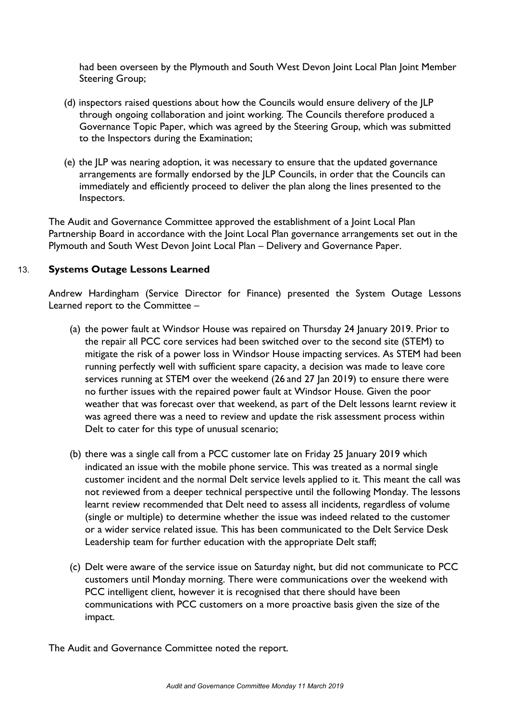had been overseen by the Plymouth and South West Devon Joint Local Plan Joint Member Steering Group;

- (d) inspectors raised questions about how the Councils would ensure delivery of the JLP through ongoing collaboration and joint working. The Councils therefore produced a Governance Topic Paper, which was agreed by the Steering Group, which was submitted to the Inspectors during the Examination;
- (e) the JLP was nearing adoption, it was necessary to ensure that the updated governance arrangements are formally endorsed by the JLP Councils, in order that the Councils can immediately and efficiently proceed to deliver the plan along the lines presented to the Inspectors.

The Audit and Governance Committee approved the establishment of a Joint Local Plan Partnership Board in accordance with the Joint Local Plan governance arrangements set out in the Plymouth and South West Devon Joint Local Plan – Delivery and Governance Paper.

# 13. **Systems Outage Lessons Learned**

Andrew Hardingham (Service Director for Finance) presented the System Outage Lessons Learned report to the Committee –

- (a) the power fault at Windsor House was repaired on Thursday 24 January 2019. Prior to the repair all PCC core services had been switched over to the second site (STEM) to mitigate the risk of a power loss in Windsor House impacting services. As STEM had been running perfectly well with sufficient spare capacity, a decision was made to leave core services running at STEM over the weekend (26 and 27 Jan 2019) to ensure there were no further issues with the repaired power fault at Windsor House. Given the poor weather that was forecast over that weekend, as part of the Delt lessons learnt review it was agreed there was a need to review and update the risk assessment process within Delt to cater for this type of unusual scenario;
- (b) there was a single call from a PCC customer late on Friday 25 January 2019 which indicated an issue with the mobile phone service. This was treated as a normal single customer incident and the normal Delt service levels applied to it. This meant the call was not reviewed from a deeper technical perspective until the following Monday. The lessons learnt review recommended that Delt need to assess all incidents, regardless of volume (single or multiple) to determine whether the issue was indeed related to the customer or a wider service related issue. This has been communicated to the Delt Service Desk Leadership team for further education with the appropriate Delt staff;
- (c) Delt were aware of the service issue on Saturday night, but did not communicate to PCC customers until Monday morning. There were communications over the weekend with PCC intelligent client, however it is recognised that there should have been communications with PCC customers on a more proactive basis given the size of the impact.

The Audit and Governance Committee noted the report.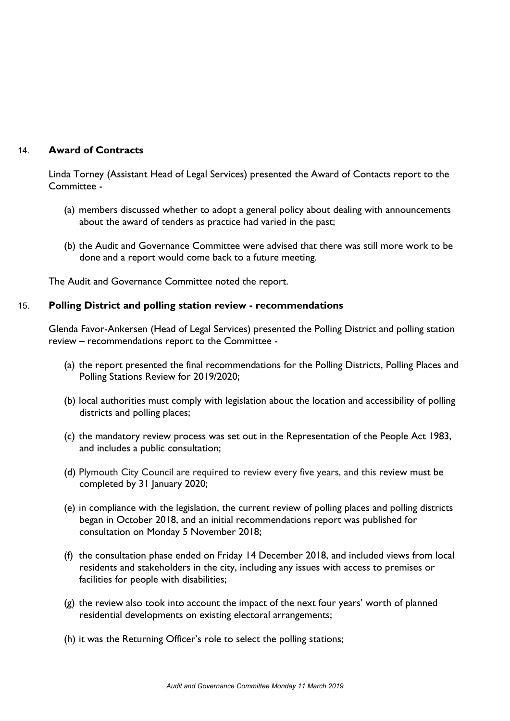# 14. **Award of Contracts**

Linda Torney (Assistant Head of Legal Services) presented the Award of Contacts report to the Committee -

- (a) members discussed whether to adopt a general policy about dealing with announcements about the award of tenders as practice had varied in the past;
- (b) the Audit and Governance Committee were advised that there was still more work to be done and a report would come back to a future meeting.

The Audit and Governance Committee noted the report.

#### 15. **Polling District and polling station review - recommendations**

Glenda Favor-Ankersen (Head of Legal Services) presented the Polling District and polling station review – recommendations report to the Committee -

- (a) the report presented the final recommendations for the Polling Districts, Polling Places and Polling Stations Review for 2019/2020;
- (b) local authorities must comply with legislation about the location and accessibility of polling districts and polling places;
- (c) the mandatory review process was set out in the Representation of the People Act 1983, and includes a public consultation;
- (d) Plymouth City Council are required to review every five years, and this review must be completed by 31 January 2020;
- (e) in compliance with the legislation, the current review of polling places and polling districts began in October 2018, and an initial recommendations report was published for consultation on Monday 5 November 2018;
- (f) the consultation phase ended on Friday 14 December 2018, and included views from local residents and stakeholders in the city, including any issues with access to premises or facilities for people with disabilities;
- (g) the review also took into account the impact of the next four years' worth of planned residential developments on existing electoral arrangements;
- (h) it was the Returning Officer's role to select the polling stations;